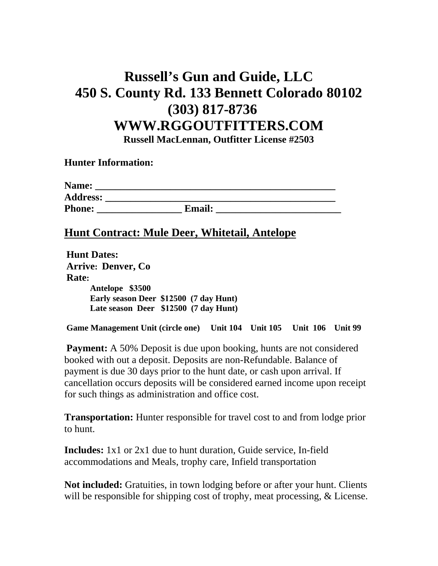## **Russell's Gun and Guide, LLC 450 S. County Rd. 133 Bennett Colorado 80102 (303) 817-8736 WWW.RGGOUTFITTERS.COM Russell MacLennan, Outfitter License #2503**

**Hunter Information:** 

| Name:           |               |  |
|-----------------|---------------|--|
| <b>Address:</b> |               |  |
| <b>Phone:</b>   | <b>Email:</b> |  |

## **Hunt Contract: Mule Deer, Whitetail, Antelope**

| <b>Hunt Dates:</b>                     |  |  |
|----------------------------------------|--|--|
| <b>Arrive: Denver, Co</b>              |  |  |
| <b>Rate:</b>                           |  |  |
| Antelope \$3500                        |  |  |
| Early season Deer \$12500 (7 day Hunt) |  |  |
| Late season Deer \$12500 (7 day Hunt)  |  |  |
|                                        |  |  |

 **Game Management Unit (circle one) Unit 104 Unit 105 Unit 106 Unit 99** 

**Payment:** A 50% Deposit is due upon booking, hunts are not considered booked with out a deposit. Deposits are non-Refundable. Balance of payment is due 30 days prior to the hunt date, or cash upon arrival. If cancellation occurs deposits will be considered earned income upon receipt for such things as administration and office cost.

**Transportation:** Hunter responsible for travel cost to and from lodge prior to hunt.

**Includes:** 1x1 or 2x1 due to hunt duration, Guide service, In-field accommodations and Meals, trophy care, Infield transportation

**Not included:** Gratuities, in town lodging before or after your hunt. Clients will be responsible for shipping cost of trophy, meat processing, & License.